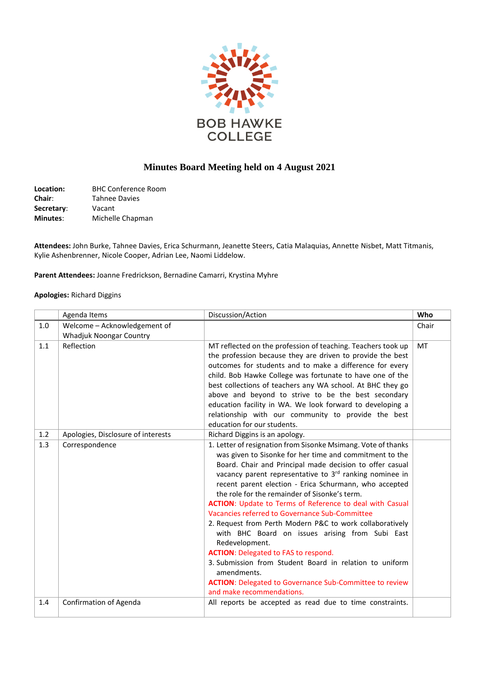

## **Minutes Board Meeting held on 4 August 2021**

| Location:       | <b>BHC Conference Room</b> |
|-----------------|----------------------------|
| <b>Chair:</b>   | <b>Tahnee Davies</b>       |
| Secretary:      | Vacant                     |
| <b>Minutes:</b> | Michelle Chapman           |

**Attendees:** John Burke, Tahnee Davies, Erica Schurmann, Jeanette Steers, Catia Malaquias, Annette Nisbet, Matt Titmanis, Kylie Ashenbrenner, Nicole Cooper, Adrian Lee, Naomi Liddelow.

**Parent Attendees:** Joanne Fredrickson, Bernadine Camarri, Krystina Myhre

## **Apologies:** Richard Diggins

|     | Agenda Items                       | Discussion/Action                                                                                                                                                                                                                                                                                                                                                                                                                                                                                                                                                                                                                                                                                                                                                                                                                        | Who       |
|-----|------------------------------------|------------------------------------------------------------------------------------------------------------------------------------------------------------------------------------------------------------------------------------------------------------------------------------------------------------------------------------------------------------------------------------------------------------------------------------------------------------------------------------------------------------------------------------------------------------------------------------------------------------------------------------------------------------------------------------------------------------------------------------------------------------------------------------------------------------------------------------------|-----------|
| 1.0 | Welcome - Acknowledgement of       |                                                                                                                                                                                                                                                                                                                                                                                                                                                                                                                                                                                                                                                                                                                                                                                                                                          | Chair     |
|     | Whadjuk Noongar Country            |                                                                                                                                                                                                                                                                                                                                                                                                                                                                                                                                                                                                                                                                                                                                                                                                                                          |           |
| 1.1 | Reflection                         | MT reflected on the profession of teaching. Teachers took up<br>the profession because they are driven to provide the best<br>outcomes for students and to make a difference for every<br>child. Bob Hawke College was fortunate to have one of the<br>best collections of teachers any WA school. At BHC they go<br>above and beyond to strive to be the best secondary<br>education facility in WA. We look forward to developing a<br>relationship with our community to provide the best<br>education for our students.                                                                                                                                                                                                                                                                                                              | <b>MT</b> |
| 1.2 | Apologies, Disclosure of interests | Richard Diggins is an apology.                                                                                                                                                                                                                                                                                                                                                                                                                                                                                                                                                                                                                                                                                                                                                                                                           |           |
| 1.3 | Correspondence                     | 1. Letter of resignation from Sisonke Msimang. Vote of thanks<br>was given to Sisonke for her time and commitment to the<br>Board. Chair and Principal made decision to offer casual<br>vacancy parent representative to 3rd ranking nominee in<br>recent parent election - Erica Schurmann, who accepted<br>the role for the remainder of Sisonke's term.<br><b>ACTION:</b> Update to Terms of Reference to deal with Casual<br>Vacancies referred to Governance Sub-Committee<br>2. Request from Perth Modern P&C to work collaboratively<br>with BHC Board on issues arising from Subi East<br>Redevelopment.<br><b>ACTION:</b> Delegated to FAS to respond.<br>3. Submission from Student Board in relation to uniform<br>amendments.<br><b>ACTION:</b> Delegated to Governance Sub-Committee to review<br>and make recommendations. |           |
| 1.4 | <b>Confirmation of Agenda</b>      | All reports be accepted as read due to time constraints.                                                                                                                                                                                                                                                                                                                                                                                                                                                                                                                                                                                                                                                                                                                                                                                 |           |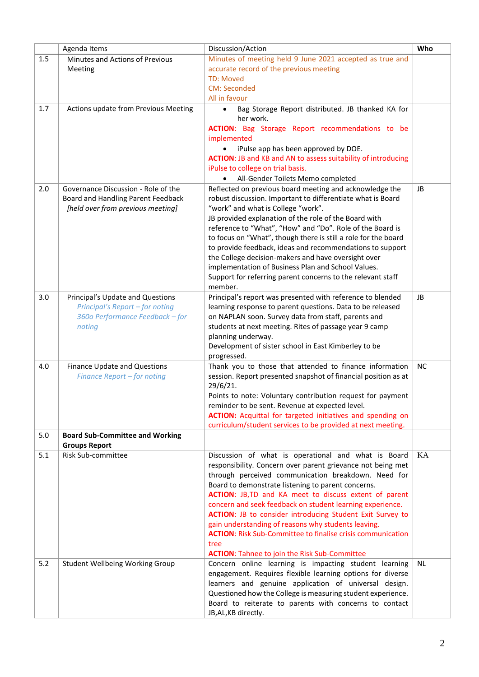|     | Agenda Items                               | Discussion/Action                                                                                                             | Who       |
|-----|--------------------------------------------|-------------------------------------------------------------------------------------------------------------------------------|-----------|
| 1.5 | Minutes and Actions of Previous            | Minutes of meeting held 9 June 2021 accepted as true and                                                                      |           |
|     | Meeting                                    | accurate record of the previous meeting<br><b>TD: Moved</b>                                                                   |           |
|     |                                            | <b>CM: Seconded</b>                                                                                                           |           |
|     |                                            | All in favour                                                                                                                 |           |
| 1.7 | Actions update from Previous Meeting       | Bag Storage Report distributed. JB thanked KA for<br>her work.                                                                |           |
|     |                                            | <b>ACTION:</b> Bag Storage Report recommendations to be                                                                       |           |
|     |                                            | implemented                                                                                                                   |           |
|     |                                            | iPulse app has been approved by DOE.                                                                                          |           |
|     |                                            | <b>ACTION: JB and KB and AN to assess suitability of introducing</b><br>iPulse to college on trial basis.                     |           |
|     |                                            | All-Gender Toilets Memo completed                                                                                             |           |
| 2.0 | Governance Discussion - Role of the        | Reflected on previous board meeting and acknowledge the                                                                       | <b>JB</b> |
|     | Board and Handling Parent Feedback         | robust discussion. Important to differentiate what is Board                                                                   |           |
|     | [held over from previous meeting]          | "work" and what is College "work".                                                                                            |           |
|     |                                            | JB provided explanation of the role of the Board with<br>reference to "What", "How" and "Do". Role of the Board is            |           |
|     |                                            | to focus on "What", though there is still a role for the board                                                                |           |
|     |                                            | to provide feedback, ideas and recommendations to support                                                                     |           |
|     |                                            | the College decision-makers and have oversight over                                                                           |           |
|     |                                            | implementation of Business Plan and School Values.                                                                            |           |
|     |                                            | Support for referring parent concerns to the relevant staff<br>member.                                                        |           |
| 3.0 | Principal's Update and Questions           | Principal's report was presented with reference to blended                                                                    | <b>JB</b> |
|     | Principal's Report - for noting            | learning response to parent questions. Data to be released                                                                    |           |
|     | 360o Performance Feedback - for            | on NAPLAN soon. Survey data from staff, parents and                                                                           |           |
|     | noting                                     | students at next meeting. Rites of passage year 9 camp                                                                        |           |
|     |                                            | planning underway.                                                                                                            |           |
|     |                                            | Development of sister school in East Kimberley to be<br>progressed.                                                           |           |
| 4.0 | Finance Update and Questions               | Thank you to those that attended to finance information                                                                       | <b>NC</b> |
|     | Finance Report - for noting                | session. Report presented snapshot of financial position as at                                                                |           |
|     |                                            | 29/6/21.                                                                                                                      |           |
|     |                                            | Points to note: Voluntary contribution request for payment<br>reminder to be sent. Revenue at expected level.                 |           |
|     |                                            | <b>ACTION:</b> Acquittal for targeted initiatives and spending on                                                             |           |
|     |                                            | curriculum/student services to be provided at next meeting.                                                                   |           |
| 5.0 | <b>Board Sub-Committee and Working</b>     |                                                                                                                               |           |
| 5.1 | <b>Groups Report</b><br>Risk Sub-committee | Discussion of what is operational and what is Board                                                                           | KA        |
|     |                                            | responsibility. Concern over parent grievance not being met                                                                   |           |
|     |                                            | through perceived communication breakdown. Need for                                                                           |           |
|     |                                            | Board to demonstrate listening to parent concerns.                                                                            |           |
|     |                                            | ACTION: JB, TD and KA meet to discuss extent of parent                                                                        |           |
|     |                                            | concern and seek feedback on student learning experience.<br><b>ACTION: JB to consider introducing Student Exit Survey to</b> |           |
|     |                                            | gain understanding of reasons why students leaving.                                                                           |           |
|     |                                            | <b>ACTION:</b> Risk Sub-Committee to finalise crisis communication                                                            |           |
|     |                                            | tree                                                                                                                          |           |
|     |                                            | <b>ACTION:</b> Tahnee to join the Risk Sub-Committee                                                                          |           |
| 5.2 | Student Wellbeing Working Group            | Concern online learning is impacting student learning                                                                         | NL.       |
|     |                                            | engagement. Requires flexible learning options for diverse<br>learners and genuine application of universal design.           |           |
|     |                                            | Questioned how the College is measuring student experience.                                                                   |           |
|     |                                            | Board to reiterate to parents with concerns to contact                                                                        |           |
|     |                                            | JB, AL, KB directly.                                                                                                          |           |